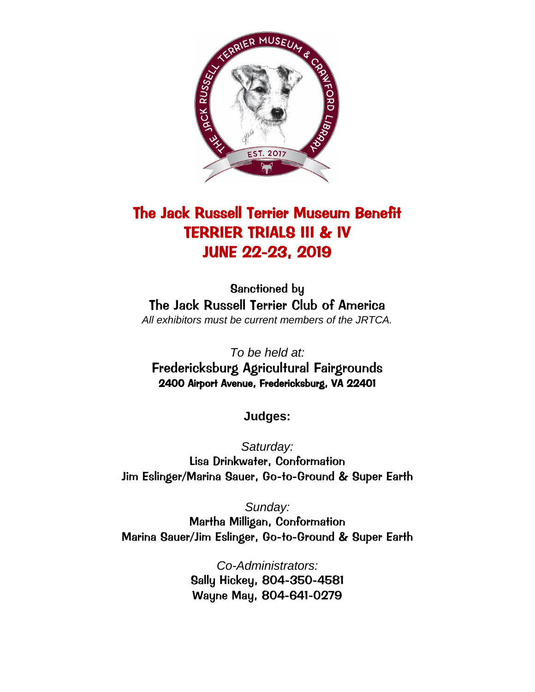

# The Jack Russell Terrier Museum Benefit TERRIER TRIALS III & IV JUNE 22-23, 2019

Sanctioned by The Jack Russell Terrier Club of America *All exhibitors must be current members of the JRTCA.*

*To be held at:* Fredericksburg Agricultural Fairgrounds 2400 Airport Avenue, Fredericksburg, VA 22401

**Judges:**

*Saturday:* Lisa Drinkwater, Conformation Jim Eslinger/Marina Sauer, Go-to-Ground & Super Earth

*Sunday:* Martha Milligan, Conformation Marina Sauer/Jim Eslinger, Go-to-Ground & Super Earth

> *Co-Administrators:* Sally Hickey, 804-350-4581 Wayne May, 804-641-0279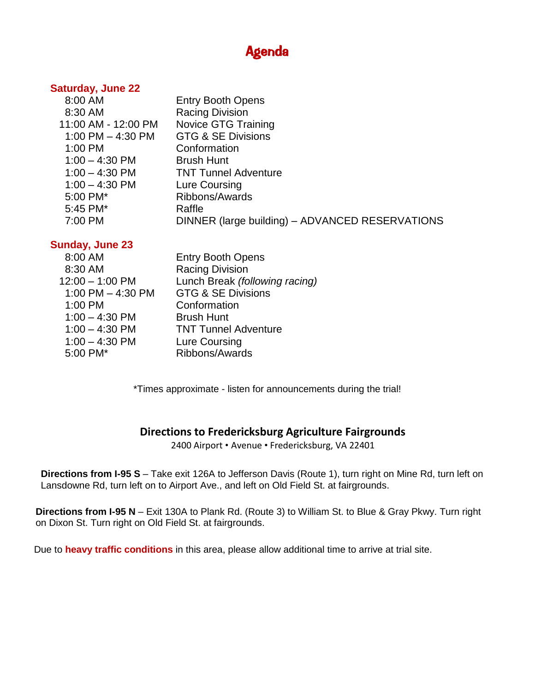# Agenda

### **Saturday, June 22**

| 8:00 AM             | <b>Entry Booth Opens</b>                        |
|---------------------|-------------------------------------------------|
| 8:30 AM             | <b>Racing Division</b>                          |
| 11:00 AM - 12:00 PM | <b>Novice GTG Training</b>                      |
| 1:00 PM $-$ 4:30 PM | <b>GTG &amp; SE Divisions</b>                   |
| 1:00 PM             | Conformation                                    |
| $1:00 - 4:30$ PM    | <b>Brush Hunt</b>                               |
| $1:00 - 4:30$ PM    | <b>TNT Tunnel Adventure</b>                     |
| $1:00 - 4:30$ PM    | Lure Coursing                                   |
| 5:00 PM*            | Ribbons/Awards                                  |
| 5:45 PM*            | Raffle                                          |
| 7:00 PM             | DINNER (large building) - ADVANCED RESERVATIONS |
|                     |                                                 |

### **Sunday, June 23**

| 8:00 AM             | <b>Entry Booth Opens</b>       |
|---------------------|--------------------------------|
| 8:30 AM             | <b>Racing Division</b>         |
| $12:00 - 1:00$ PM   | Lunch Break (following racing) |
| 1:00 PM $-$ 4:30 PM | <b>GTG &amp; SE Divisions</b>  |
| 1:00 PM             | Conformation                   |
| $1:00 - 4:30$ PM    | <b>Brush Hunt</b>              |
| $1:00 - 4:30$ PM    | <b>TNT Tunnel Adventure</b>    |
| $1:00 - 4:30$ PM    | Lure Coursing                  |
| 5:00 PM*            | Ribbons/Awards                 |
|                     |                                |

\*Times approximate - listen for announcements during the trial!

### **Directions to Fredericksburg Agriculture Fairgrounds**

2400 Airport • Avenue • Fredericksburg, VA 22401

**Directions from I-95 S** – Take exit 126A to Jefferson Davis (Route 1), turn right on Mine Rd, turn left on Lansdowne Rd, turn left on to Airport Ave., and left on Old Field St. at fairgrounds.

**Directions from I-95 N** – Exit 130A to Plank Rd. (Route 3) to William St. to Blue & Gray Pkwy. Turn right on Dixon St. Turn right on Old Field St. at fairgrounds.

Due to **heavy traffic conditions** in this area, please allow additional time to arrive at trial site.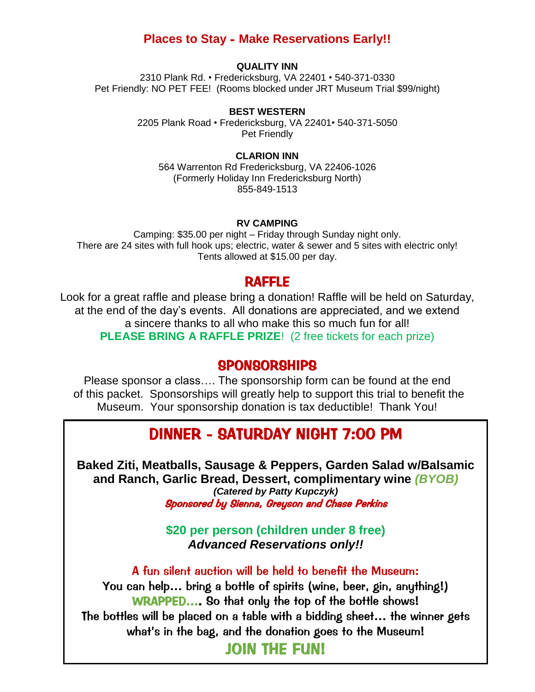### **Places to Stay** - **Make Reservations Early!!**

### **QUALITY INN**

2310 Plank Rd. • Fredericksburg, VA 22401 • 540-371-0330 Pet Friendly: NO PET FEE! (Rooms blocked under JRT Museum Trial \$99/night)

#### **BEST WESTERN**

2205 Plank Road • Fredericksburg, VA 22401• 540-371-5050 Pet Friendly

#### **CLARION INN**

564 Warrenton Rd Fredericksburg, VA 22406-1026 (Formerly Holiday Inn Fredericksburg North) 855-849-1513

#### **RV CAMPING**

Camping: \$35.00 per night – Friday through Sunday night only. There are 24 sites with full hook ups; electric, water & sewer and 5 sites with electric only! Tents allowed at \$15.00 per day.

### RAFFLE

Look for a great raffle and please bring a donation! Raffle will be held on Saturday, at the end of the day's events. All donations are appreciated, and we extend a sincere thanks to all who make this so much fun for all! **PLEASE BRING A RAFFLE PRIZE**! (2 free tickets for each prize)

### SPONSORSHIPS

Please sponsor a class…. The sponsorship form can be found at the end of this packet. Sponsorships will greatly help to support this trial to benefit the Museum. Your sponsorship donation is tax deductible! Thank You!

## DINNER - SATURDAY NIGHT 7:00 PM

and Ranch, Garlic Bread, Dessert, complimentary wine *(BYOB)* **Baked Ziti, Meatballs, Sausage & Peppers, Garden Salad w/Balsamic**  *(Catered by Patty Kupczyk)* Sponsored by Sienna, Greyson and Chase Perkins

> **\$20 per person (children under 8 free)** *Advanced Reservations only!!*

A fun silent auction will be held to benefit the Museum: You can help… bring a bottle of spirits (wine, beer, gin, anything!) WRAPPED…. So that only the top of the bottle shows! The bottles will be placed on a table with a bidding sheet… the winner gets what's in the bag, and the donation goes to the Museum!

JOIN THE FUN!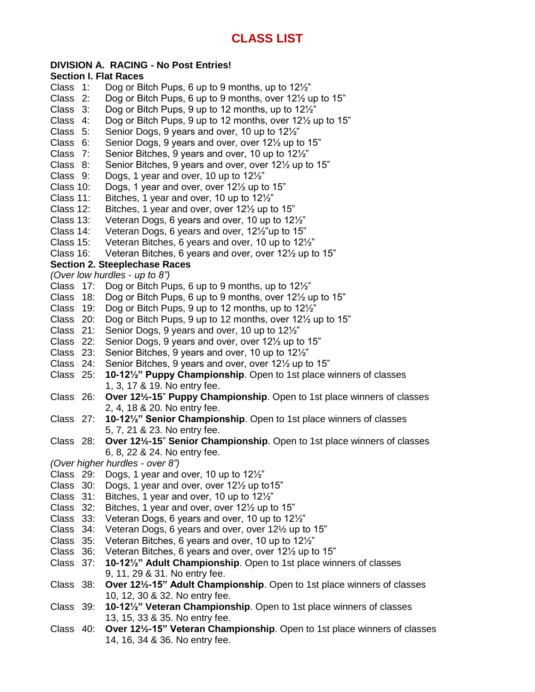### **DIVISION A. RACING - No Post Entries!**

# **Section I. Flat Races**

- Dog or Bitch Pups, 6 up to 9 months, up to  $12\frac{1}{2}$ "
- Class 2: Dog or Bitch Pups, 6 up to 9 months, over 12½ up to 15"
- Class 3: Dog or Bitch Pups, 9 up to 12 months, up to 12½"
- Class 4: Dog or Bitch Pups, 9 up to 12 months, over 12½ up to 15"
- Class 5: Senior Dogs, 9 years and over, 10 up to 12½"
- Class 6: Senior Dogs, 9 years and over, over 12½ up to 15"
- Class 7: Senior Bitches, 9 years and over, 10 up to 12½"
- Class 8: Senior Bitches, 9 years and over, over 12½ up to 15"
- Class 9: Dogs, 1 year and over, 10 up to 12½"
- Class 10: Dogs, 1 year and over, over 12½ up to 15"
- Class 11: Bitches, 1 year and over, 10 up to 12½"
- Class 12: Bitches, 1 year and over, over 12½ up to 15"
- Class 13: Veteran Dogs, 6 years and over, 10 up to 12½"
- Class 14: Veteran Dogs, 6 years and over, 12½"up to 15"
- Class 15: Veteran Bitches, 6 years and over, 10 up to 12½"
- Class 16: Veteran Bitches, 6 years and over, over 12½ up to 15"

### **Section 2. Steeplechase Races**

*(Over low hurdles - up to 8")*

- Class 17: Dog or Bitch Pups, 6 up to 9 months, up to 12½"
- Class 18: Dog or Bitch Pups, 6 up to 9 months, over 12½ up to 15"
- Class 19: Dog or Bitch Pups, 9 up to 12 months, up to 12½"
- Class 20: Dog or Bitch Pups, 9 up to 12 months, over 12½ up to 15"
- Class 21: Senior Dogs, 9 years and over, 10 up to 12½"
- Class 22: Senior Dogs, 9 years and over, over 12½ up to 15"
- Class 23: Senior Bitches, 9 years and over, 10 up to 12½"
- Class 24: Senior Bitches, 9 years and over, over 12½ up to 15"
- Class 25: **10-12½" Puppy Championship**. Open to 1st place winners of classes 1, 3, 17 & 19. No entry fee.
- Class 26: **Over 12½-15**" **Puppy Championship**. Open to 1st place winners of classes 2, 4, 18 & 20. No entry fee.
- Class 27: **10-12½" Senior Championship**. Open to 1st place winners of classes 5, 7, 21 & 23. No entry fee.
- Class 28: **Over 12½-15**" **Senior Championship**. Open to 1st place winners of classes 6, 8, 22 & 24. No entry fee.
- *(Over higher hurdles - over 8")*
- Class 29: Dogs, 1 year and over, 10 up to 12½"
- Class 30: Dogs, 1 year and over, over 12½ up to15"
- Class 31: Bitches, 1 year and over, 10 up to 12½"
- Class 32: Bitches, 1 year and over, over 12½ up to 15"
- Class 33: Veteran Dogs, 6 years and over, 10 up to 12½"
- Class 34: Veteran Dogs, 6 years and over, over 12½ up to 15"
- Class 35: Veteran Bitches, 6 years and over, 10 up to 12½"
- Class 36: Veteran Bitches, 6 years and over, over 12½ up to 15"
- Class 37: **10-12½" Adult Championship**. Open to 1st place winners of classes 9, 11, 29 & 31. No entry fee.
- Class 38: **Over 12½-15" Adult Championship**. Open to 1st place winners of classes 10, 12, 30 & 32. No entry fee.
- Class 39: **10-12½" Veteran Championship**. Open to 1st place winners of classes 13, 15, 33 & 35. No entry fee.
- Class 40: **Over 12½-15" Veteran Championship**. Open to 1st place winners of classes 14, 16, 34 & 36. No entry fee.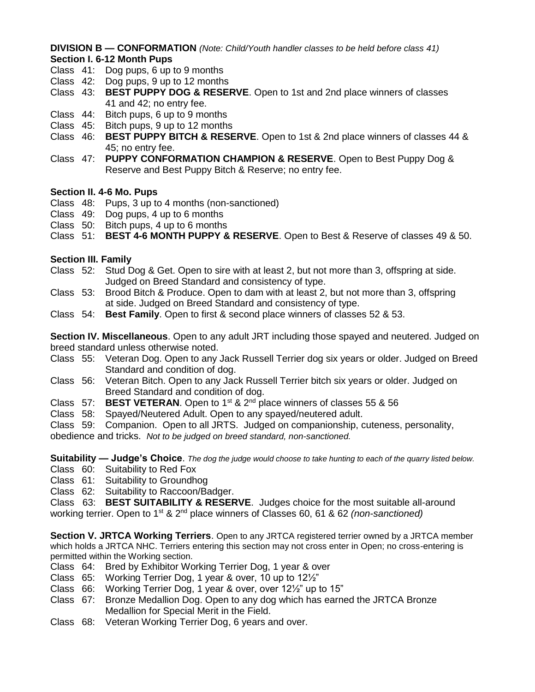**DIVISION B — CONFORMATION** *(Note: Child/Youth handler classes to be held before class 41)* **Section I. 6-12 Month Pups**

- Class 41: Dog pups, 6 up to 9 months
- Class 42: Dog pups, 9 up to 12 months
- Class 43: **BEST PUPPY DOG & RESERVE**. Open to 1st and 2nd place winners of classes 41 and 42; no entry fee.
- Class 44: Bitch pups, 6 up to 9 months
- Class 45: Bitch pups, 9 up to 12 months
- Class 46: **BEST PUPPY BITCH & RESERVE**. Open to 1st & 2nd place winners of classes 44 & 45; no entry fee.
- Class 47: **PUPPY CONFORMATION CHAMPION & RESERVE**. Open to Best Puppy Dog & Reserve and Best Puppy Bitch & Reserve; no entry fee.

### **Section II. 4-6 Mo. Pups**

- Class 48: Pups, 3 up to 4 months (non-sanctioned)
- Class 49: Dog pups, 4 up to 6 months
- Class 50: Bitch pups, 4 up to 6 months
- Class 51: **BEST 4-6 MONTH PUPPY & RESERVE**. Open to Best & Reserve of classes 49 & 50.

### **Section III. Family**

- Class 52: Stud Dog & Get. Open to sire with at least 2, but not more than 3, offspring at side. Judged on Breed Standard and consistency of type.
- Class 53: Brood Bitch & Produce. Open to dam with at least 2, but not more than 3, offspring at side. Judged on Breed Standard and consistency of type.
- Class 54: **Best Family**. Open to first & second place winners of classes 52 & 53.

**Section IV. Miscellaneous**. Open to any adult JRT including those spayed and neutered. Judged on breed standard unless otherwise noted.

- Class 55: Veteran Dog. Open to any Jack Russell Terrier dog six years or older. Judged on Breed Standard and condition of dog.
- Class 56: Veteran Bitch. Open to any Jack Russell Terrier bitch six years or older. Judged on Breed Standard and condition of dog.
- Class 57: **BEST VETERAN**. Open to 1<sup>st</sup> & 2<sup>nd</sup> place winners of classes 55 & 56
- Class 58: Spayed/Neutered Adult. Open to any spayed/neutered adult.

Class 59: Companion. Open to all JRTS. Judged on companionship, cuteness, personality,

obedience and tricks. *Not to be judged on breed standard, non-sanctioned.*

**Suitability — Judge's Choice**. *The dog the judge would choose to take hunting to each of the quarry listed below.* Class 60: Suitability to Red Fox

- Class 61: Suitability to Groundhog
- Class 62: Suitability to Raccoon/Badger.
- 

Class 63: **BEST SUITABILITY & RESERVE**. Judges choice for the most suitable all-around working terrier. Open to 1st & 2nd place winners of Classes 60, 61 & 62 *(non-sanctioned)*

**Section V. JRTCA Working Terriers**. Open to any JRTCA registered terrier owned by a JRTCA member which holds a JRTCA NHC. Terriers entering this section may not cross enter in Open; no cross-entering is permitted within the Working section.

- Class 64: Bred by Exhibitor Working Terrier Dog, 1 year & over
- Class 65: Working Terrier Dog, 1 year & over, 10 up to 12½"
- Class 66: Working Terrier Dog, 1 year & over, over 12½" up to 15"
- Class 67: Bronze Medallion Dog. Open to any dog which has earned the JRTCA Bronze Medallion for Special Merit in the Field.
- Class 68: Veteran Working Terrier Dog, 6 years and over.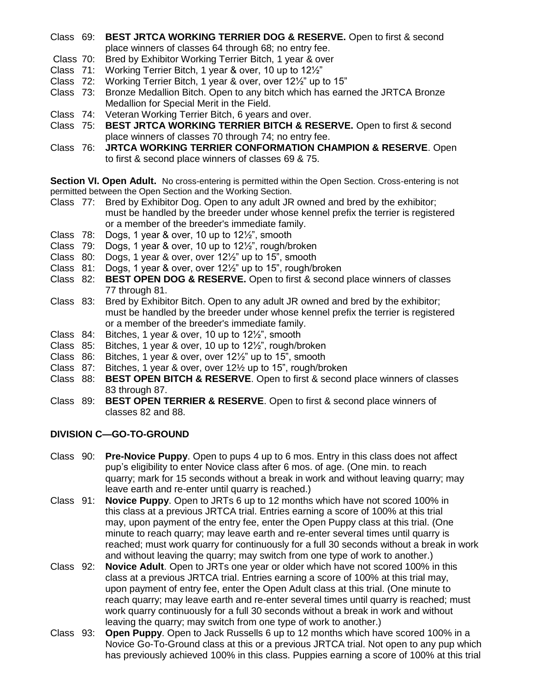- Class 69: **BEST JRTCA WORKING TERRIER DOG & RESERVE.** Open to first & second place winners of classes 64 through 68; no entry fee.
- Class 70: Bred by Exhibitor Working Terrier Bitch, 1 year & over
- Class 71: Working Terrier Bitch, 1 year & over, 10 up to 12½"
- Class 72: Working Terrier Bitch, 1 year & over, over 12½" up to 15"
- Class 73: Bronze Medallion Bitch. Open to any bitch which has earned the JRTCA Bronze Medallion for Special Merit in the Field.
- Class 74: Veteran Working Terrier Bitch, 6 years and over.
- Class 75: **BEST JRTCA WORKING TERRIER BITCH & RESERVE.** Open to first & second place winners of classes 70 through 74; no entry fee.
- Class 76: **JRTCA WORKING TERRIER CONFORMATION CHAMPION & RESERVE**. Open to first & second place winners of classes 69 & 75.

**Section VI. Open Adult.** No cross-entering is permitted within the Open Section. Cross-entering is not permitted between the Open Section and the Working Section.

- Class 77: Bred by Exhibitor Dog. Open to any adult JR owned and bred by the exhibitor; must be handled by the breeder under whose kennel prefix the terrier is registered or a member of the breeder's immediate family.
- Class 78: Dogs, 1 year & over, 10 up to 12½", smooth
- Class 79: Dogs, 1 year & over, 10 up to 12½", rough/broken
- Class 80: Dogs, 1 year & over, over  $12\frac{1}{2}$ " up to 15", smooth
- Class 81: Dogs, 1 year & over, over 12½" up to 15", rough/broken
- Class 82: **BEST OPEN DOG & RESERVE.** Open to first & second place winners of classes 77 through 81.
- Class 83: Bred by Exhibitor Bitch. Open to any adult JR owned and bred by the exhibitor; must be handled by the breeder under whose kennel prefix the terrier is registered or a member of the breeder's immediate family.
- Class 84: Bitches, 1 year & over, 10 up to 12½", smooth
- Class 85: Bitches, 1 year & over, 10 up to 12½", rough/broken
- Class 86: Bitches, 1 year & over, over 12½" up to 15", smooth
- Class 87: Bitches, 1 year & over, over 12½ up to 15", rough/broken
- Class 88: **BEST OPEN BITCH & RESERVE**. Open to first & second place winners of classes 83 through 87.
- Class 89: **BEST OPEN TERRIER & RESERVE**. Open to first & second place winners of classes 82 and 88.

### **DIVISION C—GO-TO-GROUND**

- Class 90: **Pre-Novice Puppy**. Open to pups 4 up to 6 mos. Entry in this class does not affect pup's eligibility to enter Novice class after 6 mos. of age. (One min. to reach quarry; mark for 15 seconds without a break in work and without leaving quarry; may leave earth and re-enter until quarry is reached.)
- Class 91: **Novice Puppy**. Open to JRTs 6 up to 12 months which have not scored 100% in this class at a previous JRTCA trial. Entries earning a score of 100% at this trial may, upon payment of the entry fee, enter the Open Puppy class at this trial. (One minute to reach quarry; may leave earth and re-enter several times until quarry is reached; must work quarry for continuously for a full 30 seconds without a break in work and without leaving the quarry; may switch from one type of work to another.)
- Class 92: **Novice Adult**. Open to JRTs one year or older which have not scored 100% in this class at a previous JRTCA trial. Entries earning a score of 100% at this trial may, upon payment of entry fee, enter the Open Adult class at this trial. (One minute to reach quarry; may leave earth and re-enter several times until quarry is reached; must work quarry continuously for a full 30 seconds without a break in work and without leaving the quarry; may switch from one type of work to another.)
- Class 93: **Open Puppy**. Open to Jack Russells 6 up to 12 months which have scored 100% in a Novice Go-To-Ground class at this or a previous JRTCA trial. Not open to any pup which has previously achieved 100% in this class. Puppies earning a score of 100% at this trial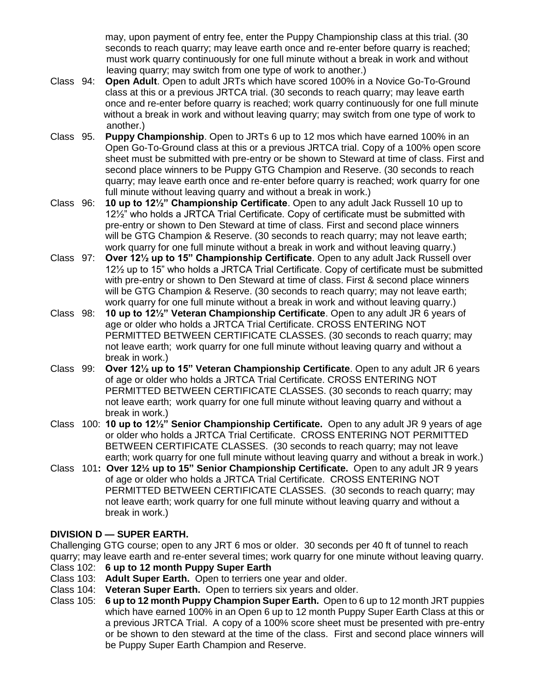may, upon payment of entry fee, enter the Puppy Championship class at this trial. (30 seconds to reach quarry; may leave earth once and re-enter before quarry is reached; must work quarry continuously for one full minute without a break in work and without leaving quarry; may switch from one type of work to another.)

- Class 94: **Open Adult**. Open to adult JRTs which have scored 100% in a Novice Go-To-Ground class at this or a previous JRTCA trial. (30 seconds to reach quarry; may leave earth once and re-enter before quarry is reached; work quarry continuously for one full minute without a break in work and without leaving quarry; may switch from one type of work to another.)
- Class 95. **Puppy Championship**. Open to JRTs 6 up to 12 mos which have earned 100% in an Open Go-To-Ground class at this or a previous JRTCA trial. Copy of a 100% open score sheet must be submitted with pre-entry or be shown to Steward at time of class. First and second place winners to be Puppy GTG Champion and Reserve. (30 seconds to reach quarry; may leave earth once and re-enter before quarry is reached; work quarry for one full minute without leaving quarry and without a break in work.)
- Class 96: **10 up to 12½" Championship Certificate**. Open to any adult Jack Russell 10 up to 12½" who holds a JRTCA Trial Certificate. Copy of certificate must be submitted with pre-entry or shown to Den Steward at time of class. First and second place winners will be GTG Champion & Reserve. (30 seconds to reach quarry; may not leave earth; work quarry for one full minute without a break in work and without leaving quarry.)
- Class 97: **Over 12½ up to 15" Championship Certificate**. Open to any adult Jack Russell over 12½ up to 15" who holds a JRTCA Trial Certificate. Copy of certificate must be submitted with pre-entry or shown to Den Steward at time of class. First & second place winners will be GTG Champion & Reserve. (30 seconds to reach quarry; may not leave earth; work quarry for one full minute without a break in work and without leaving quarry.)
- Class 98: **10 up to 12½" Veteran Championship Certificate**. Open to any adult JR 6 years of age or older who holds a JRTCA Trial Certificate. CROSS ENTERING NOT PERMITTED BETWEEN CERTIFICATE CLASSES. (30 seconds to reach quarry; may not leave earth; work quarry for one full minute without leaving quarry and without a break in work.)
- Class 99: **Over 12½ up to 15" Veteran Championship Certificate**. Open to any adult JR 6 years of age or older who holds a JRTCA Trial Certificate. CROSS ENTERING NOT PERMITTED BETWEEN CERTIFICATE CLASSES. (30 seconds to reach quarry; may not leave earth; work quarry for one full minute without leaving quarry and without a break in work.)
- Class 100: **10 up to 12½" Senior Championship Certificate.** Open to any adult JR 9 years of age or older who holds a JRTCA Trial Certificate. CROSS ENTERING NOT PERMITTED BETWEEN CERTIFICATE CLASSES. (30 seconds to reach quarry; may not leave earth; work quarry for one full minute without leaving quarry and without a break in work.)
- Class 101**: Over 12½ up to 15" Senior Championship Certificate.** Open to any adult JR 9 years of age or older who holds a JRTCA Trial Certificate. CROSS ENTERING NOT PERMITTED BETWEEN CERTIFICATE CLASSES. (30 seconds to reach quarry; may not leave earth; work quarry for one full minute without leaving quarry and without a break in work.)

### **DIVISION D — SUPER EARTH.**

Challenging GTG course; open to any JRT 6 mos or older. 30 seconds per 40 ft of tunnel to reach quarry; may leave earth and re-enter several times; work quarry for one minute without leaving quarry.

- Class 102: **6 up to 12 month Puppy Super Earth**
- Class 103: **Adult Super Earth.** Open to terriers one year and older.
- Class 104: **Veteran Super Earth.** Open to terriers six years and older.
- Class 105: **6 up to 12 month Puppy Champion Super Earth.** Open to 6 up to 12 month JRT puppies which have earned 100% in an Open 6 up to 12 month Puppy Super Earth Class at this or a previous JRTCA Trial. A copy of a 100% score sheet must be presented with pre-entry or be shown to den steward at the time of the class. First and second place winners will be Puppy Super Earth Champion and Reserve.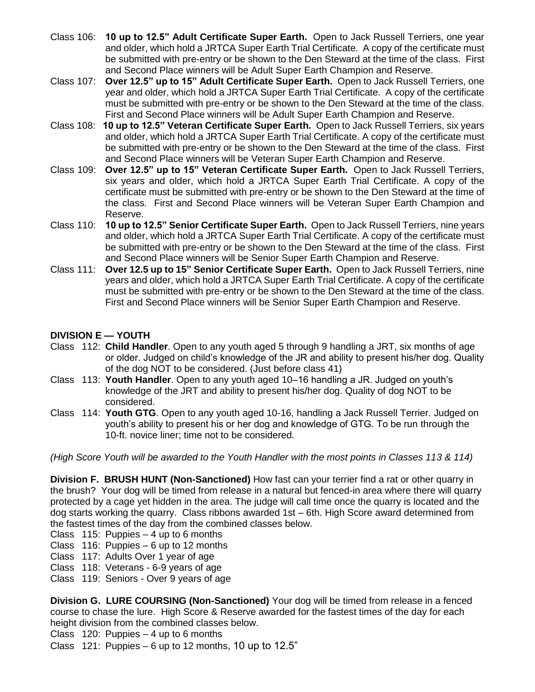- Class 106: **10 up to 12.5" Adult Certificate Super Earth.** Open to Jack Russell Terriers, one year and older, which hold a JRTCA Super Earth Trial Certificate. A copy of the certificate must be submitted with pre-entry or be shown to the Den Steward at the time of the class. First and Second Place winners will be Adult Super Earth Champion and Reserve.
- Class 107: **Over 12.5" up to 15" Adult Certificate Super Earth.** Open to Jack Russell Terriers, one year and older, which hold a JRTCA Super Earth Trial Certificate. A copy of the certificate must be submitted with pre-entry or be shown to the Den Steward at the time of the class. First and Second Place winners will be Adult Super Earth Champion and Reserve.
- Class 108:**10 up to 12.5" Veteran Certificate Super Earth.** Open to Jack Russell Terriers, six years and older, which hold a JRTCA Super Earth Trial Certificate. A copy of the certificate must be submitted with pre-entry or be shown to the Den Steward at the time of the class. First and Second Place winners will be Veteran Super Earth Champion and Reserve.
- Class 109:**Over 12.5" up to 15" Veteran Certificate Super Earth.** Open to Jack Russell Terriers, six years and older, which hold a JRTCA Super Earth Trial Certificate. A copy of the certificate must be submitted with pre-entry or be shown to the Den Steward at the time of the class. First and Second Place winners will be Veteran Super Earth Champion and Reserve.
- Class 110: **10 up to 12.5" Senior Certificate Super Earth.** Open to Jack Russell Terriers, nine years and older, which hold a JRTCA Super Earth Trial Certificate. A copy of the certificate must be submitted with pre-entry or be shown to the Den Steward at the time of the class. First and Second Place winners will be Senior Super Earth Champion and Reserve.
- Class 111: **Over 12.5 up to 15" Senior Certificate Super Earth.** Open to Jack Russell Terriers, nine years and older, which hold a JRTCA Super Earth Trial Certificate. A copy of the certificate must be submitted with pre-entry or be shown to the Den Steward at the time of the class. First and Second Place winners will be Senior Super Earth Champion and Reserve.

### **DIVISION E — YOUTH**

- Class 112: **Child Handler**. Open to any youth aged 5 through 9 handling a JRT, six months of age or older. Judged on child's knowledge of the JR and ability to present his/her dog. Quality of the dog NOT to be considered. (Just before class 41)
- Class 113: **Youth Handler**. Open to any youth aged 10–16 handling a JR. Judged on youth's knowledge of the JRT and ability to present his/her dog. Quality of dog NOT to be considered.
- Class 114: **Youth GTG**. Open to any youth aged 10-16, handling a Jack Russell Terrier. Judged on youth's ability to present his or her dog and knowledge of GTG. To be run through the 10-ft. novice liner; time not to be considered.

*(High Score Youth will be awarded to the Youth Handler with the most points in Classes 113 & 114)*

**Division F. BRUSH HUNT (Non-Sanctioned)** How fast can your terrier find a rat or other quarry in the brush? Your dog will be timed from release in a natural but fenced-in area where there will quarry protected by a cage yet hidden in the area. The judge will call time once the quarry is located and the dog starts working the quarry. Class ribbons awarded 1st – 6th. High Score award determined from the fastest times of the day from the combined classes below.

Class 115: Puppies – 4 up to 6 months

- Class 116: Puppies 6 up to 12 months
- Class 117: Adults Over 1 year of age
- Class 118: Veterans 6-9 years of age
- Class 119: Seniors Over 9 years of age

**Division G. LURE COURSING (Non-Sanctioned)** Your dog will be timed from release in a fenced course to chase the lure. High Score & Reserve awarded for the fastest times of the day for each height division from the combined classes below.

Class 120: Puppies – 4 up to 6 months

Class 121: Puppies  $-6$  up to 12 months, 10 up to 12.5"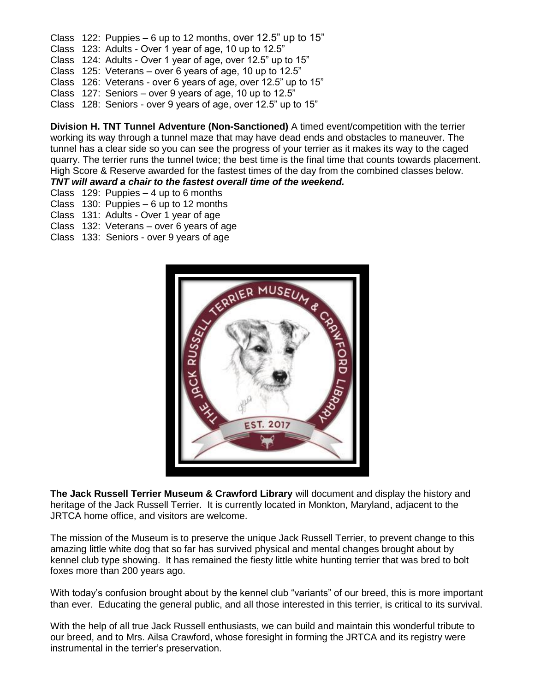- Class 122: Puppies  $-6$  up to 12 months, over 12.5" up to 15"
- Class 123: Adults Over 1 year of age, 10 up to 12.5"
- Class 124: Adults Over 1 year of age, over 12.5" up to 15"
- Class 125: Veterans over 6 years of age, 10 up to 12.5"
- Class 126: Veterans over 6 years of age, over 12.5" up to 15"
- Class 127: Seniors over 9 years of age, 10 up to 12.5"
- Class 128: Seniors over 9 years of age, over 12.5" up to 15"

**Division H. TNT Tunnel Adventure (Non-Sanctioned)** A timed event/competition with the terrier working its way through a tunnel maze that may have dead ends and obstacles to maneuver. The tunnel has a clear side so you can see the progress of your terrier as it makes its way to the caged quarry. The terrier runs the tunnel twice; the best time is the final time that counts towards placement. High Score & Reserve awarded for the fastest times of the day from the combined classes below. *TNT will award a chair to the fastest overall time of the weekend.*

- Class 129: Puppies 4 up to 6 months
- Class 130: Puppies 6 up to 12 months
- Class 131: Adults Over 1 year of age
- Class 132: Veterans over 6 years of age
- Class 133: Seniors over 9 years of age



**The Jack Russell Terrier Museum & Crawford Library** will document and display the history and heritage of the Jack Russell Terrier. It is currently located in Monkton, Maryland, adjacent to the JRTCA home office, and visitors are welcome.

The mission of the Museum is to preserve the unique Jack Russell Terrier, to prevent change to this amazing little white dog that so far has survived physical and mental changes brought about by kennel club type showing. It has remained the fiesty little white hunting terrier that was bred to bolt foxes more than 200 years ago.

With today's confusion brought about by the kennel club "variants" of our breed, this is more important than ever. Educating the general public, and all those interested in this terrier, is critical to its survival.

With the help of all true Jack Russell enthusiasts, we can build and maintain this wonderful tribute to our breed, and to Mrs. Ailsa Crawford, whose foresight in forming the JRTCA and its registry were instrumental in the terrier's preservation.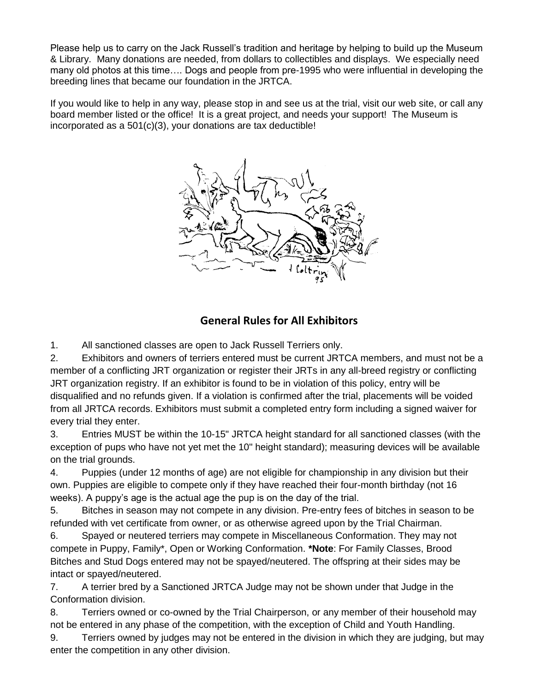Please help us to carry on the Jack Russell's tradition and heritage by helping to build up the Museum & Library. Many donations are needed, from dollars to collectibles and displays. We especially need many old photos at this time…. Dogs and people from pre-1995 who were influential in developing the breeding lines that became our foundation in the JRTCA.

If you would like to help in any way, please stop in and see us at the trial, visit our web site, or call any board member listed or the office! It is a great project, and needs your support! The Museum is incorporated as a 501(c)(3), your donations are tax deductible!



### **General Rules for All Exhibitors**

1. All sanctioned classes are open to Jack Russell Terriers only.

2. Exhibitors and owners of terriers entered must be current JRTCA members, and must not be a member of a conflicting JRT organization or register their JRTs in any all-breed registry or conflicting JRT organization registry. If an exhibitor is found to be in violation of this policy, entry will be disqualified and no refunds given. If a violation is confirmed after the trial, placements will be voided from all JRTCA records. Exhibitors must submit a completed entry form including a signed waiver for every trial they enter.

3. Entries MUST be within the 10-15" JRTCA height standard for all sanctioned classes (with the exception of pups who have not yet met the 10" height standard); measuring devices will be available on the trial grounds.

4. Puppies (under 12 months of age) are not eligible for championship in any division but their own. Puppies are eligible to compete only if they have reached their four-month birthday (not 16 weeks). A puppy's age is the actual age the pup is on the day of the trial.

5. Bitches in season may not compete in any division. Pre-entry fees of bitches in season to be refunded with vet certificate from owner, or as otherwise agreed upon by the Trial Chairman.

6. Spayed or neutered terriers may compete in Miscellaneous Conformation. They may not compete in Puppy, Family\*, Open or Working Conformation. **\*Note**: For Family Classes, Brood Bitches and Stud Dogs entered may not be spayed/neutered. The offspring at their sides may be intact or spayed/neutered.

7. A terrier bred by a Sanctioned JRTCA Judge may not be shown under that Judge in the Conformation division.

8. Terriers owned or co-owned by the Trial Chairperson, or any member of their household may not be entered in any phase of the competition, with the exception of Child and Youth Handling.

9. Terriers owned by judges may not be entered in the division in which they are judging, but may enter the competition in any other division.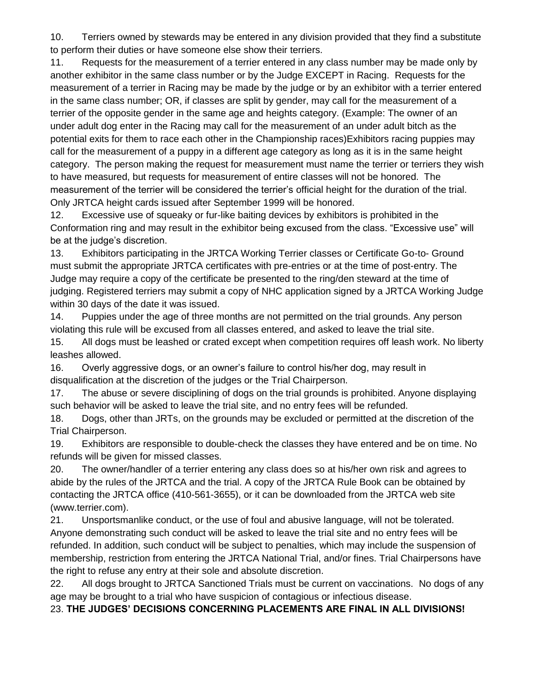10. Terriers owned by stewards may be entered in any division provided that they find a substitute to perform their duties or have someone else show their terriers.

11. Requests for the measurement of a terrier entered in any class number may be made only by another exhibitor in the same class number or by the Judge EXCEPT in Racing. Requests for the measurement of a terrier in Racing may be made by the judge or by an exhibitor with a terrier entered in the same class number; OR, if classes are split by gender, may call for the measurement of a terrier of the opposite gender in the same age and heights category. (Example: The owner of an under adult dog enter in the Racing may call for the measurement of an under adult bitch as the potential exits for them to race each other in the Championship races)Exhibitors racing puppies may call for the measurement of a puppy in a different age category as long as it is in the same height category. The person making the request for measurement must name the terrier or terriers they wish to have measured, but requests for measurement of entire classes will not be honored. The measurement of the terrier will be considered the terrier's official height for the duration of the trial. Only JRTCA height cards issued after September 1999 will be honored.

12. Excessive use of squeaky or fur-like baiting devices by exhibitors is prohibited in the Conformation ring and may result in the exhibitor being excused from the class. "Excessive use" will be at the judge's discretion.

13. Exhibitors participating in the JRTCA Working Terrier classes or Certificate Go-to- Ground must submit the appropriate JRTCA certificates with pre-entries or at the time of post-entry. The Judge may require a copy of the certificate be presented to the ring/den steward at the time of judging. Registered terriers may submit a copy of NHC application signed by a JRTCA Working Judge within 30 days of the date it was issued.

14. Puppies under the age of three months are not permitted on the trial grounds. Any person violating this rule will be excused from all classes entered, and asked to leave the trial site.

15. All dogs must be leashed or crated except when competition requires off leash work. No liberty leashes allowed.

16. Overly aggressive dogs, or an owner's failure to control his/her dog, may result in disqualification at the discretion of the judges or the Trial Chairperson.

17. The abuse or severe disciplining of dogs on the trial grounds is prohibited. Anyone displaying such behavior will be asked to leave the trial site, and no entry fees will be refunded.

18. Dogs, other than JRTs, on the grounds may be excluded or permitted at the discretion of the Trial Chairperson.

19. Exhibitors are responsible to double-check the classes they have entered and be on time. No refunds will be given for missed classes.

20. The owner/handler of a terrier entering any class does so at his/her own risk and agrees to abide by the rules of the JRTCA and the trial. A copy of the JRTCA Rule Book can be obtained by contacting the JRTCA office (410-561-3655), or it can be downloaded from the JRTCA web site (www.terrier.com).

21. Unsportsmanlike conduct, or the use of foul and abusive language, will not be tolerated. Anyone demonstrating such conduct will be asked to leave the trial site and no entry fees will be refunded. In addition, such conduct will be subject to penalties, which may include the suspension of membership, restriction from entering the JRTCA National Trial, and/or fines. Trial Chairpersons have the right to refuse any entry at their sole and absolute discretion.

22. All dogs brought to JRTCA Sanctioned Trials must be current on vaccinations. No dogs of any age may be brought to a trial who have suspicion of contagious or infectious disease.

23. **THE JUDGES' DECISIONS CONCERNING PLACEMENTS ARE FINAL IN ALL DIVISIONS!**